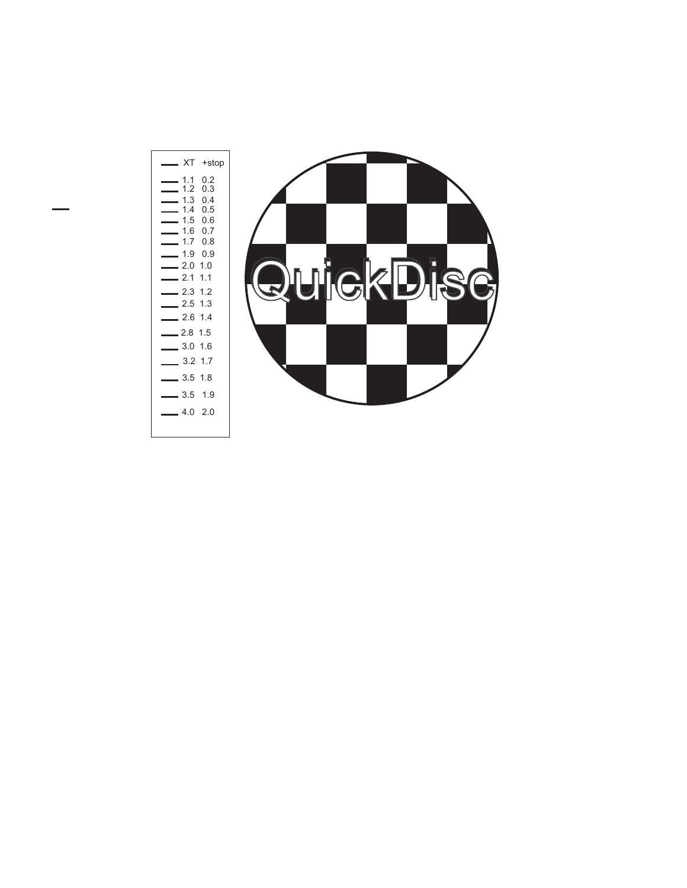| ХT                       | +stop                                                                                                   |
|--------------------------|---------------------------------------------------------------------------------------------------------|
| 1.1<br>1.2<br>1.4<br>1.9 | 0.2<br>0.3<br>$1.3 \quad 0.4$<br>0.5<br>$1.5 \t0.6$<br>$1.6$ 0.7<br>$1.7 \quad 0.8$<br>0.9<br>$2.0$ 1.0 |
| 2.1                      | 1.1<br>$2.3 \t1.2$                                                                                      |
|                          | $2.5$ 1.3<br>$2.6$ 1.4                                                                                  |
| $-2.8$ 1.5               |                                                                                                         |
| 3.0                      | 1.6<br>$3.2$ 1.7                                                                                        |
|                          | $3.5$ 1.8                                                                                               |
|                          | $3.5$ 1.9                                                                                               |
|                          | $4.0$ 2.0                                                                                               |

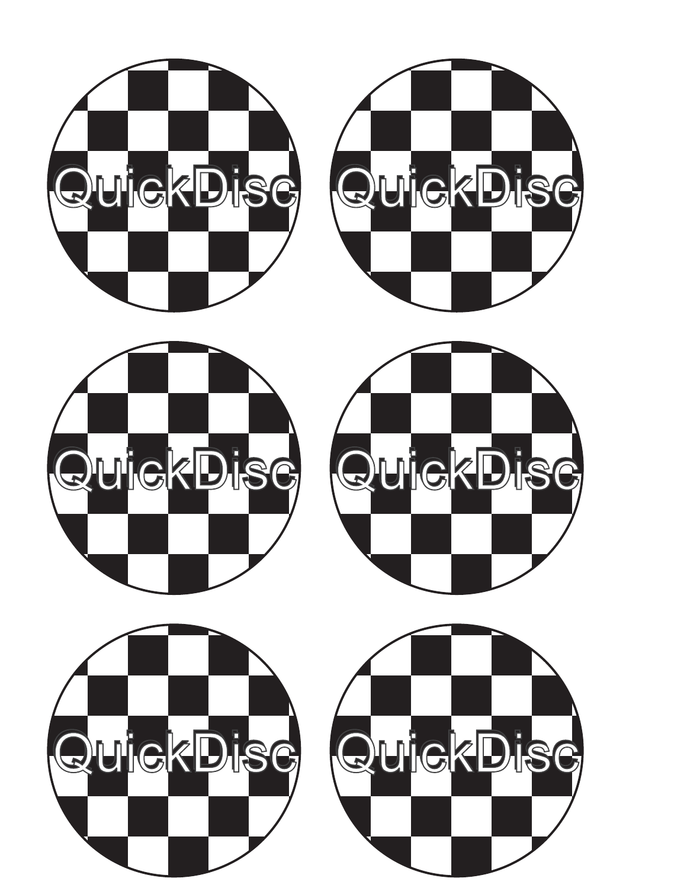